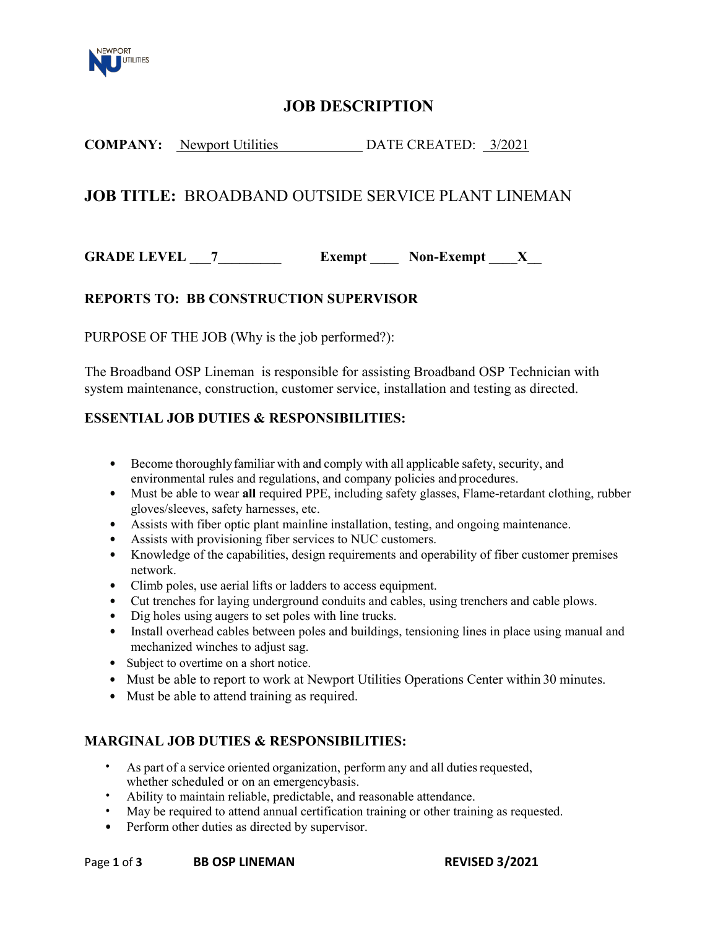

# **JOB DESCRIPTION**

## **COMPANY:** Newport Utilities DATE CREATED: 3/2021

## **JOB TITLE:** BROADBAND OUTSIDE SERVICE PLANT LINEMAN

**GRADE LEVEL 7 Exempt Non-Exempt X** 

### **REPORTS TO: BB CONSTRUCTION SUPERVISOR**

PURPOSE OF THE JOB (Why is the job performed?):

The Broadband OSP Lineman is responsible for assisting Broadband OSP Technician with system maintenance, construction, customer service, installation and testing as directed.

#### **ESSENTIAL JOB DUTIES & RESPONSIBILITIES:**

- Become thoroughly familiar with and comply with all applicable safety, security, and environmental rules and regulations, and company policies and procedures.
- Must be able to wear **all** required PPE, including safety glasses, Flame-retardant clothing, rubber gloves/sleeves, safety harnesses, etc.
- Assists with fiber optic plant mainline installation, testing, and ongoing maintenance.
- Assists with provisioning fiber services to NUC customers.
- Knowledge of the capabilities, design requirements and operability of fiber customer premises network.
- Climb poles, use aerial lifts or ladders to access equipment.
- Cut trenches for laying underground conduits and cables, using trenchers and cable plows.
- Dig holes using augers to set poles with line trucks.
- Install overhead cables between poles and buildings, tensioning lines in place using manual and mechanized winches to adjust sag.
- Subject to overtime on a short notice.
- Must be able to report to work at Newport Utilities Operations Center within 30 minutes.
- Must be able to attend training as required.

#### **MARGINAL JOB DUTIES & RESPONSIBILITIES:**

- As part of a service oriented organization, perform any and all duties requested, whether scheduled or on an emergencybasis.
- Ability to maintain reliable, predictable, and reasonable attendance.
- May be required to attend annual certification training or other training as requested.
- Perform other duties as directed by supervisor.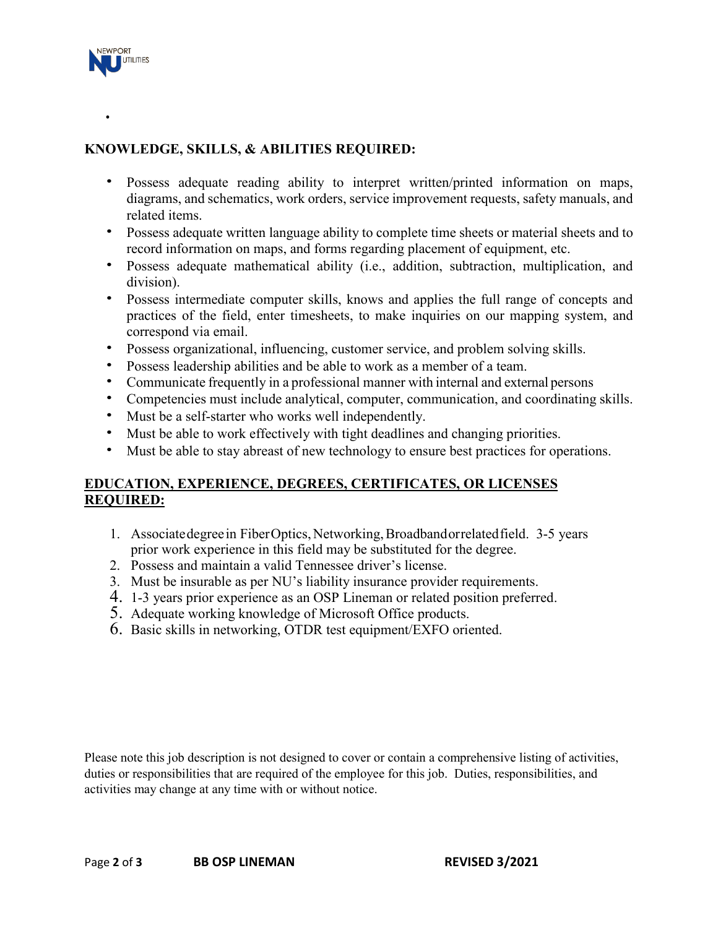

•

## **KNOWLEDGE, SKILLS, & ABILITIES REQUIRED:**

- Possess adequate reading ability to interpret written/printed information on maps, diagrams, and schematics, work orders, service improvement requests, safety manuals, and related items.
- Possess adequate written language ability to complete time sheets or material sheets and to record information on maps, and forms regarding placement of equipment, etc.
- Possess adequate mathematical ability (i.e., addition, subtraction, multiplication, and division).
- Possess intermediate computer skills, knows and applies the full range of concepts and practices of the field, enter timesheets, to make inquiries on our mapping system, and correspond via email.
- Possess organizational, influencing, customer service, and problem solving skills.
- Possess leadership abilities and be able to work as a member of a team.
- Communicate frequently in a professional manner with internal and external persons
- Competencies must include analytical, computer, communication, and coordinating skills.
- Must be a self-starter who works well independently.
- Must be able to work effectively with tight deadlines and changing priorities.
- Must be able to stay abreast of new technology to ensure best practices for operations.

### **EDUCATION, EXPERIENCE, DEGREES, CERTIFICATES, OR LICENSES REQUIRED:**

- 1. Associatedegreein FiberOptics,Networking, Broadband orrelated field. 3-5 years prior work experience in this field may be substituted for the degree.
- 2. Possess and maintain a valid Tennessee driver's license.
- 3. Must be insurable as per NU's liability insurance provider requirements.
- 4. 1-3 years prior experience as an OSP Lineman or related position preferred.
- 5. Adequate working knowledge of Microsoft Office products.
- 6. Basic skills in networking, OTDR test equipment/EXFO oriented.

Please note this job description is not designed to cover or contain a comprehensive listing of activities, duties or responsibilities that are required of the employee for this job. Duties, responsibilities, and activities may change at any time with or without notice.